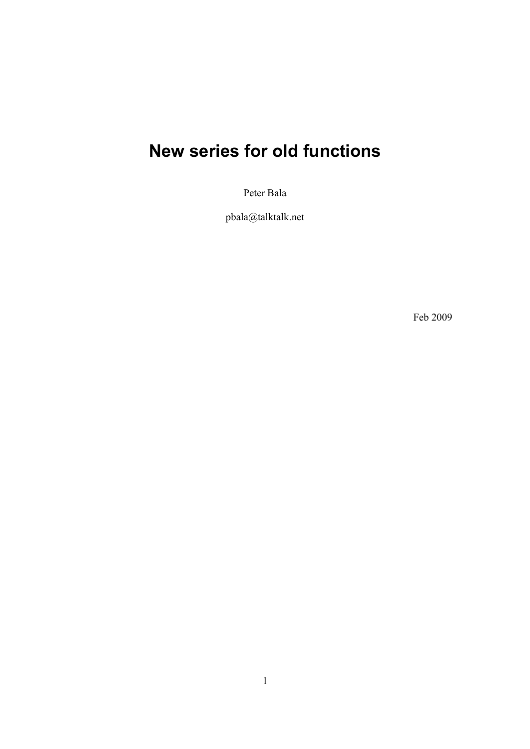# **New series for old functions**

Peter Bala

pbala@talktalk.net

Feb 2009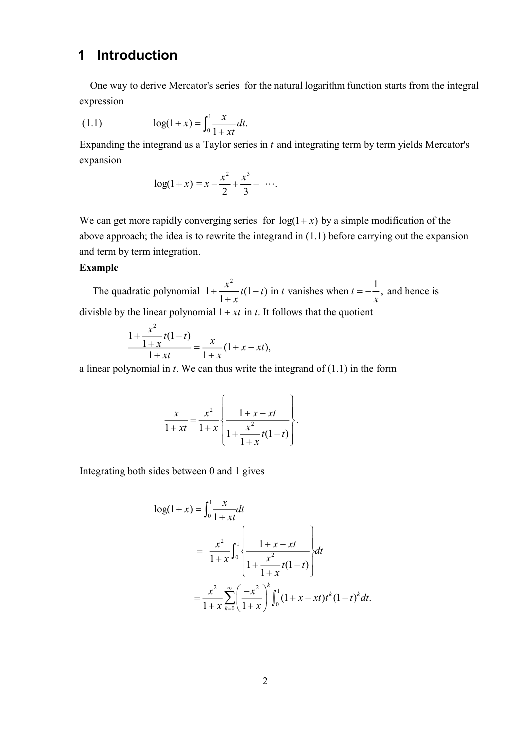### **1 Introduction**

 One way to derive Mercator's series for the natural logarithm function starts from the integral expression

(1.1) 
$$
\log(1+x) = \int_0^1 \frac{x}{1+xt} dt.
$$

Expanding the integrand as a Taylor series in  $t$  and integrating term by term yields Mercator's expansion

$$
\log(1+x) = x - \frac{x^2}{2} + \frac{x^3}{3} - \cdots
$$

We can get more rapidly converging series for  $log(1 + x)$  by a simple modification of the above approach; the idea is to rewrite the integrand in (1.1) before carrying out the expansion and term by term integration.

#### **Example**

2 The quadratic polynomial  $1 + \frac{x^2}{1 + x} t(1 - t)$  in t vanishes when t  $+\frac{x^2}{1+x}t(1-t)$  in *t* vanishes when  $t=-\frac{1}{x}$ , and hence is divisble by the linear polynomial  $1 + xt$  in t. It follows that the quotient *x*

$$
\frac{1+\frac{x^2}{1+x}t(1-t)}{1+xt} = \frac{x}{1+x}(1+x-xt),
$$

a linear polynomial in  $t$ . We can thus write the integrand of  $(1.1)$  in the form

$$
\frac{x}{1+xt} = \frac{x^2}{1+x} \left\{ \frac{1+x-xt}{1+\frac{x^2}{1+x}t(1-t)} \right\}.
$$

Integrating both sides between 0 and 1 gives

$$
\log(1+x) = \int_0^1 \frac{x}{1+xt} dt
$$
  
=  $\frac{x^2}{1+x} \int_0^1 \left\{ \frac{1+x-xt}{1+\frac{x^2}{1+x}t(1-t)} \right\} dt$   
=  $\frac{x^2}{1+x} \sum_{k=0}^\infty \left( \frac{-x^2}{1+x} \right)^k \int_0^1 (1+x-xt)t^k (1-t)^k dt.$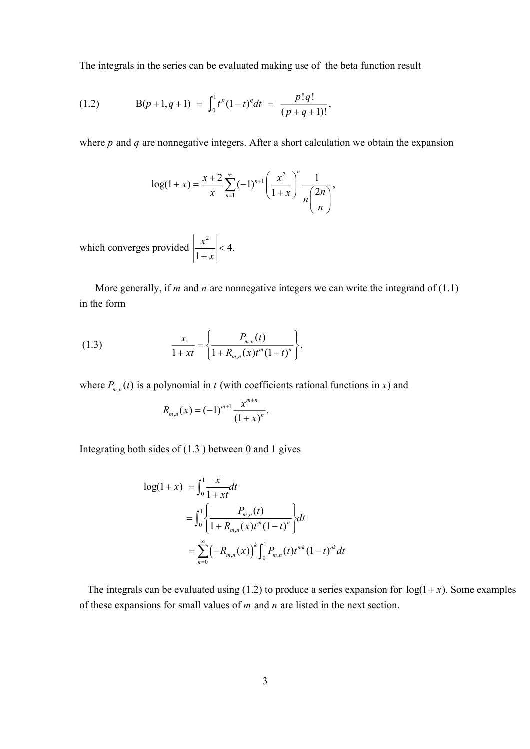The integrals in the series can be evaluated making use of the beta function result

(1.2) 
$$
B(p+1,q+1) = \int_0^1 t^p (1-t)^q dt = \frac{p!q!}{(p+q+1)!},
$$

where  $p$  and  $q$  are nonnegative integers. After a short calculation we obtain the expansion

$$
\log(1+x) = \frac{x+2}{x} \sum_{n=1}^{\infty} (-1)^{n+1} \left( \frac{x^2}{1+x} \right)^n \frac{1}{n \binom{2n}{n}},
$$

2 which converges provided  $\left|\frac{\pi}{4}\right| < 4$ . 1 *x x*  $\lt$  $^{+}$ 

More generally, if *m* and *n* are nonnegative integers we can write the integrand of  $(1.1)$ in the form

(1.3) 
$$
\frac{x}{1+xt} = \left\{ \frac{P_{m,n}(t)}{1+R_{m,n}(x)t^{m}(1-t)^{n}} \right\},
$$

where  $P_{m,n}(t)$  is a polynomial in t (with coefficients rational functions in x) and

$$
R_{m,n}(x) = (-1)^{m+1} \frac{x^{m+n}}{(1+x)^n}.
$$

Integrating both sides of (1.3 ) between 0 and 1 gives

$$
\log(1+x) = \int_0^1 \frac{x}{1+xt} dt
$$
  
= 
$$
\int_0^1 \left\{ \frac{P_{m,n}(t)}{1+R_{m,n}(x)t^m(1-t)^n} \right\} dt
$$
  
= 
$$
\sum_{k=0}^\infty \left( -R_{m,n}(x) \right)^k \int_0^1 P_{m,n}(t)t^{mk}(1-t)^{nk} dt
$$

The integrals can be evaluated using (1.2) to produce a series expansion for  $log(1 + x)$ . Some examples of these expansions for small values of  $m$  and  $n$  are listed in the next section.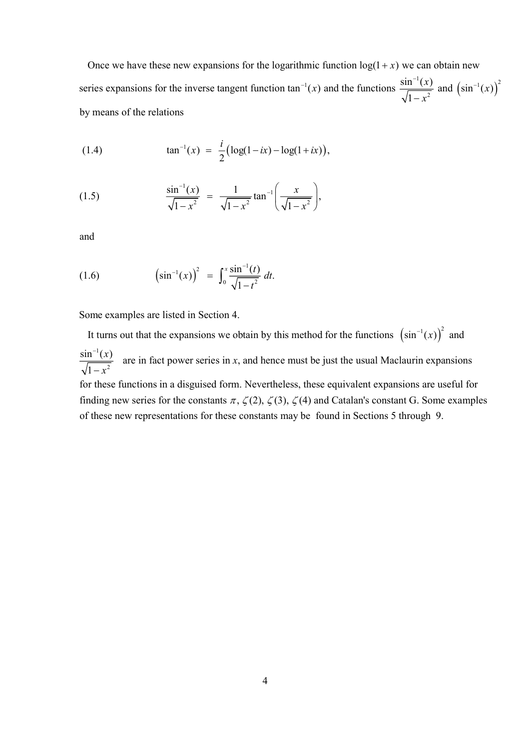$\sin^{-1}(x)$  and the functions  $\frac{\sin^{-1}(x)}{\sqrt{x}}$  and  $(\sin^{-1}(x))^2$ series expansions for the inverse tangent function tan<sup>-1</sup>(x) and the functions  $\frac{\sin^{-1}(x)}{\sqrt{1-x^2}}$  and  $(\sin^{-1}(x))$ Once we have these new expansions for the logarithmic function  $log(1+x)$  we can obtain new 1 by means of the relations *x*) and the functions  $\frac{\sin^{-1}(x)}{\sqrt{2}}$  and  $(\sin^{-1}(x))$ *x*  $e^{-1}(x)$  and the functions  $\sin^{-1}(x)$  and  $\sin^{-1}(x)$  $\overline{a}$ 

(1.4) 
$$
\tan^{-1}(x) = \frac{i}{2} \big( \log(1 - ix) - \log(1 + ix) \big),
$$

(1.5) 
$$
\frac{\sin^{-1}(x)}{\sqrt{1-x^2}} = \frac{1}{\sqrt{1-x^2}} \tan^{-1} \left( \frac{x}{\sqrt{1-x^2}} \right),
$$

and

(1.6) 
$$
\left(\sin^{-1}(x)\right)^2 = \int_0^x \frac{\sin^{-1}(t)}{\sqrt{1-t^2}} dt.
$$

Some examples are listed in Section 4.

It turns out that the expansions we obtain by this method for the functions  $(\sin^{-1}(x))^2$  and 1  $\frac{\sin^{-1}(x)}{\sqrt{1-x^2}}$  are in fact power series in x, and hence m 1  $\frac{x}{x}$  are in fact power series in x *x* - $\overline{a}$ ust be just the usual Maclaurin expansions

for these functions in a disguised form. Nevertheless, these equivalent expansions are useful for finding new series for the constants  $\pi$ ,  $\zeta(2)$ ,  $\zeta(3)$ ,  $\zeta(4)$  and Catalan's constant G. Some examples of these new representations for these constants may be found in Sections 5 through 9.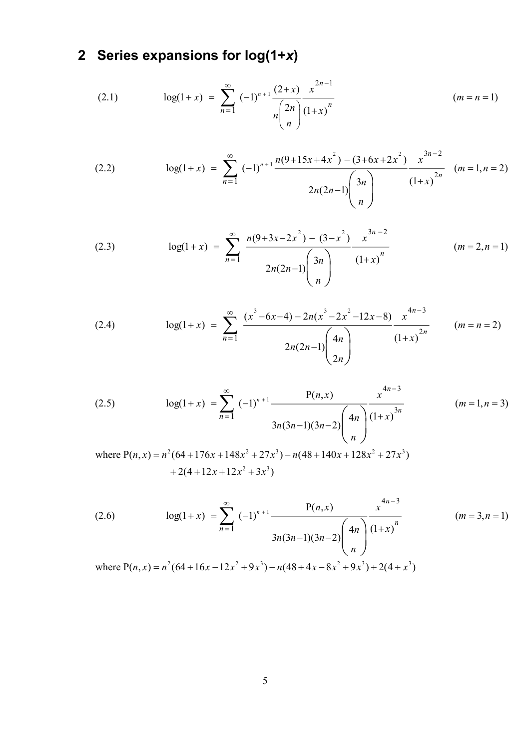# **2 Series expansions for log(1+***x***)**

(2.1) 
$$
\log(1+x) = \sum_{n=1}^{\infty} (-1)^{n+1} \frac{(2+x)}{n \binom{2n}{n}} \frac{x^{2n-1}}{(1+x)^n}
$$
  $(m = n = 1)$ 

(2.2) 
$$
\log(1+x) = \sum_{n=1}^{\infty} (-1)^{n+1} \frac{n(9+15x+4x^2) - (3+6x+2x^2)}{2n(2n-1)} \frac{x^{3n-2}}{(1+x)^{2n}} \quad (m=1, n=2)
$$

(2.3) 
$$
\log(1+x) = \sum_{n=1}^{\infty} \frac{n(9+3x-2x^2) - (3-x^2)}{2n(2n-1)\binom{3n}{n}} \frac{x^{3n-2}}{(1+x)^n}
$$
  $(m = 2, n = 1)$ 

(2.4) 
$$
\log(1+x) = \sum_{n=1}^{\infty} \frac{(x^3 - 6x - 4) - 2n(x^3 - 2x^2 - 12x - 8)}{2n(2n-1) \binom{4n}{2n}} \frac{x^{4n-3}}{(1+x)^{2n}} \qquad (m = n = 2)
$$

(2.5) 
$$
\log(1+x) = \sum_{n=1}^{\infty} (-1)^{n+1} \frac{P(n,x)}{3n(3n-1)(3n-2)} \left(\frac{4n}{n}\right)^{\frac{4n-3}{(1+x)^{3n}}} \qquad (m=1, n=3)
$$
  
where  $P(n,x) = n^2(64+176x+148x^2+27x^3) - n(48+140x+128x^2+27x^3) + 2(4+12x+12x^2+3x^3)$ 

(2.6) 
$$
\log(1+x) = \sum_{n=1}^{\infty} (-1)^{n+1} \frac{P(n,x)}{3n(3n-1)(3n-2)} \left(\frac{4n}{n}\right)^{4n-3} \frac{x^{4n-3}}{(1+x)^n}
$$
 (*m* = 3, *n* = 1)  
where  $P(n, x) = n^2(64 + 16x - 12x^2 + 9x^3) - n(48 + 4x - 8x^2 + 9x^3) + 2(4 + x^3)$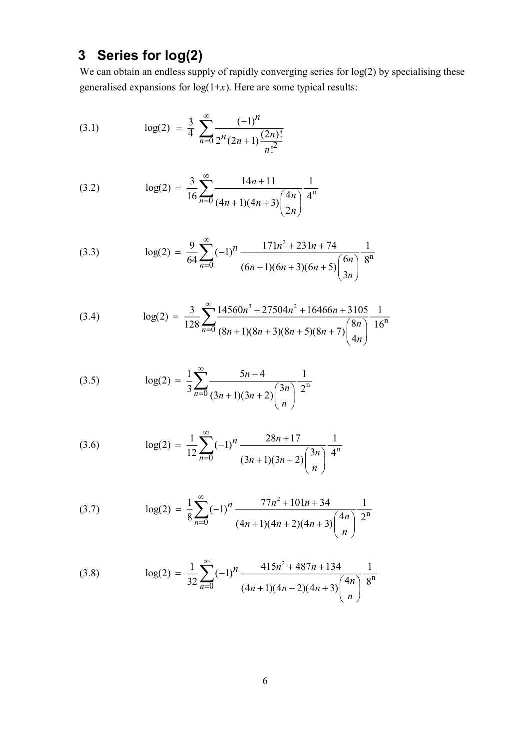## **3 Series for log(2)**

We can obtain an endless supply of rapidly converging series for  $log(2)$  by specialising these generalised expansions for  $log(1+x)$ . Here are some typical results:

(3.1) 
$$
\log(2) = \frac{3}{4} \sum_{n=0}^{\infty} \frac{(-1)^n}{2^n (2n+1) \frac{(2n)!}{n!^2}}
$$

(3.2) 
$$
\log(2) = \frac{3}{16} \sum_{n=0}^{\infty} \frac{14n+11}{(4n+1)(4n+3)\binom{4n}{2n}} \frac{1}{4^n}
$$

(3.3) 
$$
\log(2) = \frac{9}{64} \sum_{n=0}^{\infty} (-1)^n \frac{171n^2 + 231n + 74}{(6n+1)(6n+3)(6n+5) \binom{6n}{3n}} \frac{1}{8^n}
$$

(3.4) 
$$
\log(2) = \frac{3}{128} \sum_{n=0}^{\infty} \frac{14560n^3 + 27504n^2 + 16466n + 3105}{(8n+1)(8n+3)(8n+5)(8n+7)} \frac{1}{4n} \frac{16^n}{16^n}
$$

(3.5) 
$$
\log(2) = \frac{1}{3} \sum_{n=0}^{\infty} \frac{5n+4}{(3n+1)(3n+2) {3n \choose n}} \frac{1}{2^n}
$$

(3.6) 
$$
\log(2) = \frac{1}{12} \sum_{n=0}^{\infty} (-1)^n \frac{28n+17}{(3n+1)(3n+2)} \frac{1}{4^n}
$$

(3.7) 
$$
\log(2) = \frac{1}{8} \sum_{n=0}^{\infty} (-1)^n \frac{77n^2 + 101n + 34}{(4n+1)(4n+2)(4n+3)} \left(\frac{4n}{n}\right)^n \frac{1}{2^n}
$$

(3.8) 
$$
\log(2) = \frac{1}{32} \sum_{n=0}^{\infty} (-1)^n \frac{415n^2 + 487n + 134}{(4n+1)(4n+2)(4n+3)} \frac{1}{8^n}
$$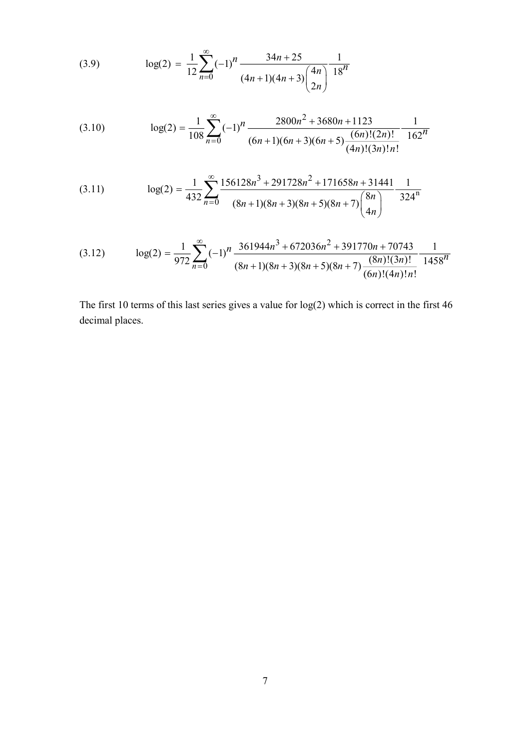(3.9) 
$$
\log(2) = \frac{1}{12} \sum_{n=0}^{\infty} (-1)^n \frac{34n + 25}{(4n+1)(4n+3) {4n \choose 2n}} \frac{1}{18^n}
$$

(3.10) 
$$
\log(2) = \frac{1}{108} \sum_{n=0}^{\infty} (-1)^n \frac{2800n^2 + 3680n + 1123}{(6n+1)(6n+3)(6n+5) \frac{(6n)!(2n)!}{(4n)!(3n)!n!}} \frac{1}{162^n}
$$

(3.11) 
$$
\log(2) = \frac{1}{432} \sum_{n=0}^{\infty} \frac{156128n^3 + 291728n^2 + 171658n + 31441}{(8n+1)(8n+3)(8n+5)(8n+7)\binom{8n}{4n}} \frac{1}{324^n}
$$

(3.12) 
$$
\log(2) = \frac{1}{972} \sum_{n=0}^{\infty} (-1)^n \frac{361944n^3 + 672036n^2 + 391770n + 70743}{(8n+1)(8n+3)(8n+5)(8n+7) \frac{(8n)!(3n)!}{(6n)!(4n)!n!}} \frac{1}{1458^n}
$$

The first 10 terms of this last series gives a value for  $log(2)$  which is correct in the first 46 decimal places.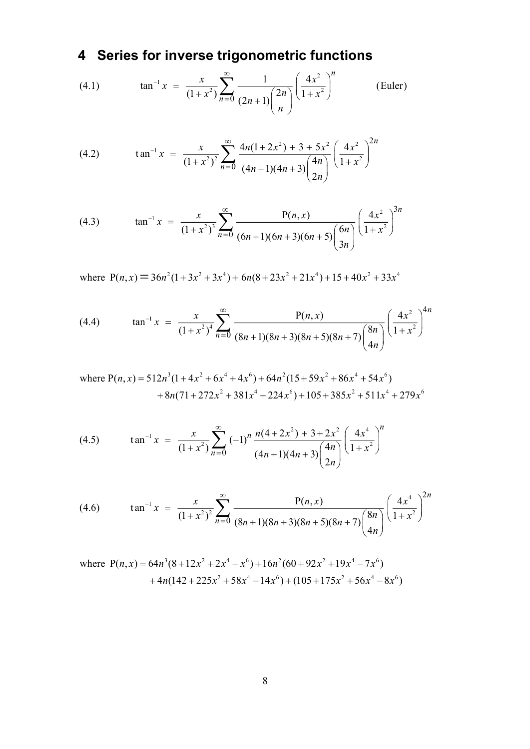# **4 Series for inverse trigonometric functions**

(4.1) 
$$
\tan^{-1} x = \frac{x}{(1+x^2)} \sum_{n=0}^{\infty} \frac{1}{(2n+1) {2n \choose n}} \left(\frac{4x^2}{1+x^2}\right)^n
$$
 (Euler)

(4.2) 
$$
\tan^{-1} x = \frac{x}{(1+x^2)^2} \sum_{n=0}^{\infty} \frac{4n(1+2x^2) + 3 + 5x^2}{(4n+1)(4n+3)\binom{4n}{2n}} \left(\frac{4x^2}{1+x^2}\right)^{2n}
$$

(4.3) 
$$
\tan^{-1} x = \frac{x}{(1+x^2)^3} \sum_{n=0}^{\infty} \frac{P(n,x)}{(6n+1)(6n+3)(6n+5) \binom{6n}{3n}} \left(\frac{4x^2}{1+x^2}\right)^{3n}
$$

where  $P(n, x) = 36n^2(1+3x^2+3x^4) + 6n(8+23x^2+21x^4) + 15+40x^2+33x^4$ 

(4.4) 
$$
\tan^{-1} x = \frac{x}{(1+x^2)^4} \sum_{n=0}^{\infty} \frac{P(n,x)}{(8n+1)(8n+3)(8n+5)(8n+7)} \left(\frac{4x^2}{4n}\right)^{4n}
$$

where 
$$
P(n, x) = 512n^3(1 + 4x^2 + 6x^4 + 4x^6) + 64n^2(15 + 59x^2 + 86x^4 + 54x^6)
$$
  
  $+ 8n(71 + 272x^2 + 381x^4 + 224x^6) + 105 + 385x^2 + 511x^4 + 279x^6$ 

(4.5) 
$$
\tan^{-1} x = \frac{x}{(1+x^2)} \sum_{n=0}^{\infty} (-1)^n \frac{n(4+2x^2) + 3 + 2x^2}{(4n+1)(4n+3)\binom{4n}{2n}} \left(\frac{4x^4}{1+x^2}\right)^n
$$

(4.6) 
$$
\tan^{-1} x = \frac{x}{(1+x^2)^2} \sum_{n=0}^{\infty} \frac{P(n,x)}{(8n+1)(8n+3)(8n+5)(8n+7)} \left(\frac{4x^4}{4n}\right)^{2n}
$$

where 
$$
P(n, x) = 64n^3(8 + 12x^2 + 2x^4 - x^6) + 16n^2(60 + 92x^2 + 19x^4 - 7x^6)
$$
  
+  $4n(142 + 225x^2 + 58x^4 - 14x^6) + (105 + 175x^2 + 56x^4 - 8x^6)$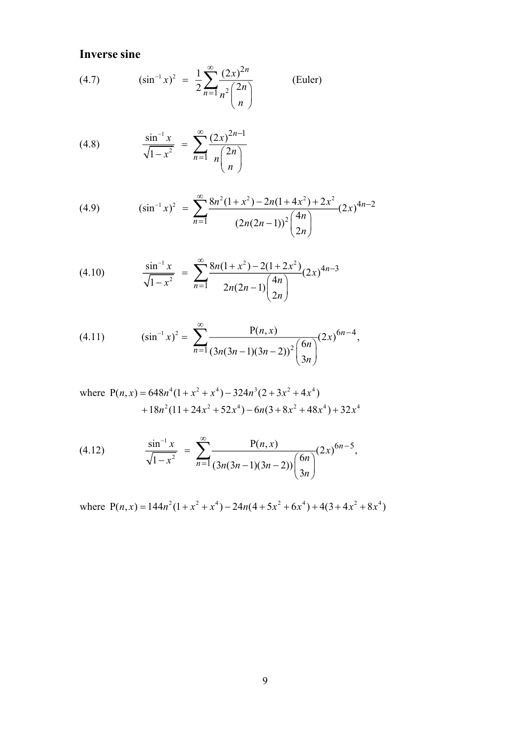**Inverse sine**

(4.7) 
$$
(\sin^{-1} x)^2 = \frac{1}{2} \sum_{n=1}^{\infty} \frac{(2x)^{2n}}{n^2 {2n \choose n}}
$$
 (Euler)

(4.8) 
$$
\frac{\sin^{-1} x}{\sqrt{1 - x^2}} = \sum_{n=1}^{\infty} \frac{(2x)^{2n-1}}{n \binom{2n}{n}}
$$

(4.9) 
$$
(\sin^{-1} x)^2 = \sum_{n=1}^{\infty} \frac{8n^2(1+x^2) - 2n(1+4x^2) + 2x^2}{(2n(2n-1))^2 {4n \choose 2n}} (2x)^{4n-2}
$$

(4.10) 
$$
\frac{\sin^{-1} x}{\sqrt{1 - x^2}} = \sum_{n=1}^{\infty} \frac{8n(1 + x^2) - 2(1 + 2x^2)}{2n(2n - 1)\binom{4n}{2n}} (2x)^{4n - 3}
$$

(4.11) 
$$
(\sin^{-1} x)^2 = \sum_{n=1}^{\infty} \frac{P(n, x)}{(3n(3n-1)(3n-2))^2} \binom{6n}{3n} (2x)^{6n-4},
$$

where 
$$
P(n,x) = 648n^4(1 + x^2 + x^4) - 324n^3(2 + 3x^2 + 4x^4)
$$
  
+  $18n^2(11 + 24x^2 + 52x^4) - 6n(3 + 8x^2 + 48x^4) + 32x^4$ 

(4.12) 
$$
\frac{\sin^{-1} x}{\sqrt{1-x^2}} = \sum_{n=1}^{\infty} \frac{P(n,x)}{(3n(3n-1)(3n-2))} \binom{6n}{3n} (2x)^{6n-5},
$$

where  $P(n, x) = 144n^2(1 + x^2 + x^4) - 24n(4 + 5x^2 + 6x^4) + 4(3 + 4x^2 + 8x^4)$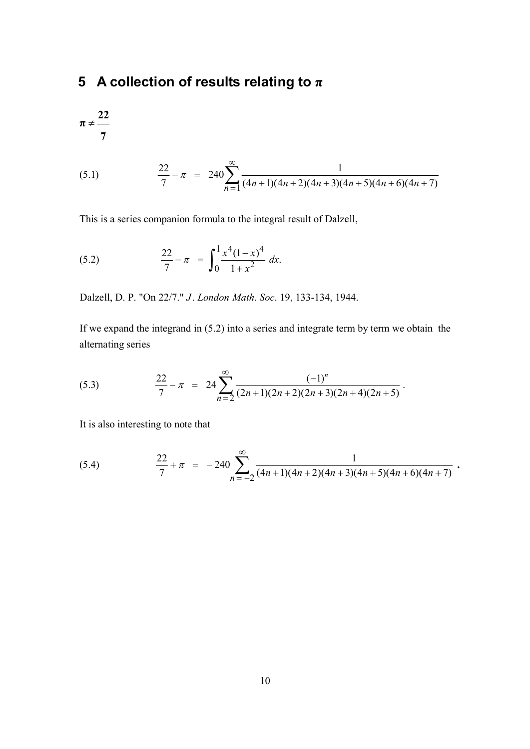## **5 A collection of results relating to π**

$$
\pi\neq\frac{22}{7}
$$

(5.1) 
$$
\frac{22}{7} - \pi = 240 \sum_{n=1}^{\infty} \frac{1}{(4n+1)(4n+2)(4n+3)(4n+5)(4n+6)(4n+7)}
$$

This is a series companion formula to the integral result of Dalzell,

(5.2) 
$$
\frac{22}{7} - \pi = \int_0^1 \frac{x^4 (1 - x)^4}{1 + x^2} dx.
$$

Dalzell, D. P. "On 22/7." J. London Math. Soc. 19, 133-134, 1944.

If we expand the integrand in (5.2) into a series and integrate term by term we obtain the alternating series

(5.3) 
$$
\frac{22}{7} - \pi = 24 \sum_{n=2}^{\infty} \frac{(-1)^n}{(2n+1)(2n+2)(2n+3)(2n+4)(2n+5)}.
$$

It is also interesting to note that

(5.4) 
$$
\frac{22}{7} + \pi = -240 \sum_{n=-2}^{\infty} \frac{1}{(4n+1)(4n+2)(4n+3)(4n+5)(4n+6)(4n+7)}.
$$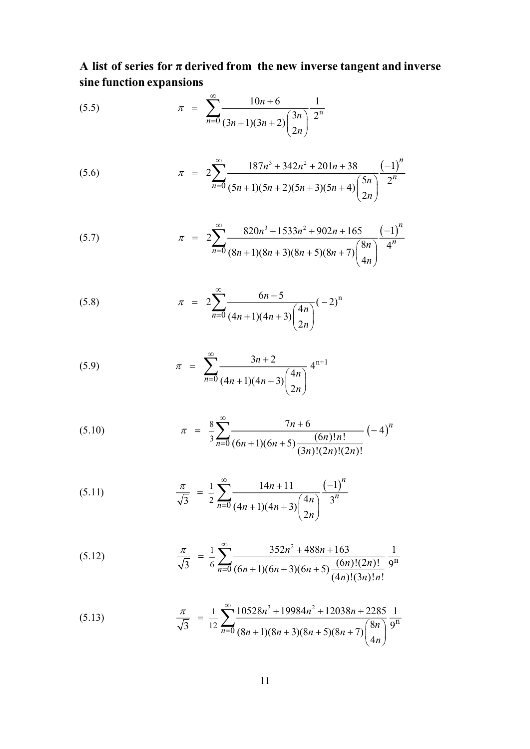**A list of series for π derived from the new inverse tangent and inverse sine function expansions**

(5.5) 
$$
\pi = \sum_{n=0}^{\infty} \frac{10n+6}{(3n+1)(3n+2)\binom{3n}{2n}} \frac{1}{2^n}
$$

(5.6) 
$$
\pi = 2 \sum_{n=0}^{\infty} \frac{187n^3 + 342n^2 + 201n + 38}{(5n+1)(5n+2)(5n+3)(5n+4) {5n \choose 2n}} \frac{(-1)^n}{2^n}
$$

(5.7) 
$$
\pi = 2 \sum_{n=0}^{\infty} \frac{820n^3 + 1533n^2 + 902n + 165}{(8n+1)(8n+3)(8n+5)(8n+7)\binom{8n}{4n}} \frac{(-1)^n}{4^n}
$$

(5.8) 
$$
\pi = 2 \sum_{n=0}^{\infty} \frac{6n+5}{(4n+1)(4n+3) {4n \choose 2n}} (-2)^n
$$

(5.9) 
$$
\pi = \sum_{n=0}^{\infty} \frac{3n+2}{(4n+1)(4n+3)\binom{4n}{2n}} 4^{n+1}
$$

(5.10) 
$$
\pi = \frac{8}{3} \sum_{n=0}^{\infty} \frac{7n+6}{(6n+1)(6n+5) \frac{(6n)!n!}{(3n)!(2n)!(2n)!}} (-4)^n
$$

(5.11) 
$$
\frac{\pi}{\sqrt{3}} = \frac{1}{2} \sum_{n=0}^{\infty} \frac{14n+11}{(4n+1)(4n+3)\binom{4n}{2n}} \frac{(-1)^n}{3^n}
$$

(5.12) 
$$
\frac{\pi}{\sqrt{3}} = \frac{1}{6} \sum_{n=0}^{\infty} \frac{352n^2 + 488n + 163}{(6n+1)(6n+3)(6n+5) \frac{(6n)!(2n)!}{(4n)!(3n)!n!}} \frac{1}{9^n}
$$

(5.13) 
$$
\frac{\pi}{\sqrt{3}} = \frac{1}{12} \sum_{n=0}^{\infty} \frac{10528n^3 + 19984n^2 + 12038n + 2285}{(8n+1)(8n+3)(8n+5)(8n+7)\binom{8n}{4n}} \frac{1}{9^n}
$$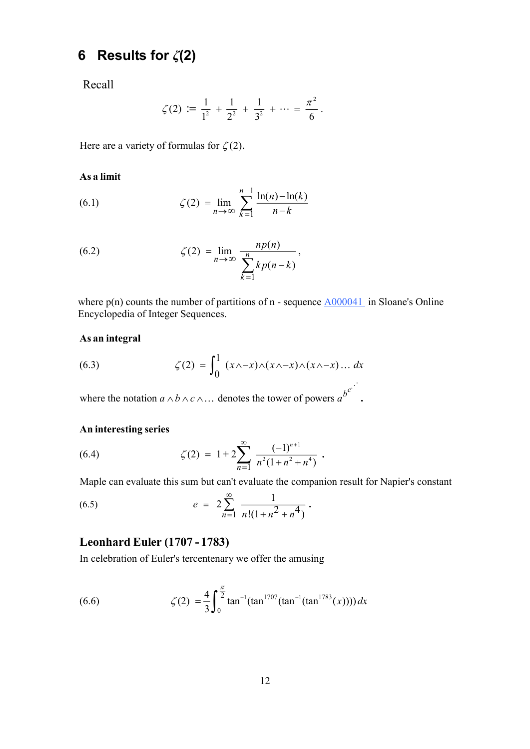## **6 Results for** *ζ***(2)**

Recall

$$
\zeta(2) := \frac{1}{1^2} + \frac{1}{2^2} + \frac{1}{3^2} + \cdots = \frac{\pi^2}{6}.
$$

Here are a variety of formulas for  $\zeta(2)$ .

#### **As a limit**

(6.1) 
$$
\zeta(2) = \lim_{n \to \infty} \sum_{k=1}^{n-1} \frac{\ln(n) - \ln(k)}{n-k}
$$

(6.2) 
$$
\zeta(2) = \lim_{n \to \infty} \frac{np(n)}{\sum_{k=1}^{n} kp(n-k)},
$$

where  $p(n)$  counts the number of partitions of n - sequence  $\triangle 000041$  in Sloane's Online Encyclopedia of Integer Sequences.

#### **As an integral**

(6.3) 
$$
\zeta(2) = \int_0^1 (x \wedge -x) \wedge (x \wedge -x) \wedge (x \wedge -x) \dots dx
$$

where the notation  $a \wedge b \wedge c \wedge \dots$  denotes the tower of powers  $a^{b^{c}}$ . Ä,  $\ldots$ 

#### **An interesting series**

(6.4) 
$$
\zeta(2) = 1 + 2 \sum_{n=1}^{\infty} \frac{(-1)^{n+1}}{n^2 (1 + n^2 + n^4)}.
$$

Maple can evaluate this sum but can't evaluate the companion result for Napier's constant

(6.5) 
$$
e = 2\sum_{n=1}^{\infty} \frac{1}{n!(1+n^2+n^4)}.
$$

### **Leonhard Euler (1707 - 1783)**

In celebration of Euler's tercentenary we offer the amusing

(6.6) 
$$
\zeta(2) = \frac{4}{3} \int_0^{\frac{\pi}{2}} \tan^{-1}(\tan^{1707}(\tan^{-1}(\tan^{1783}(x)))) dx
$$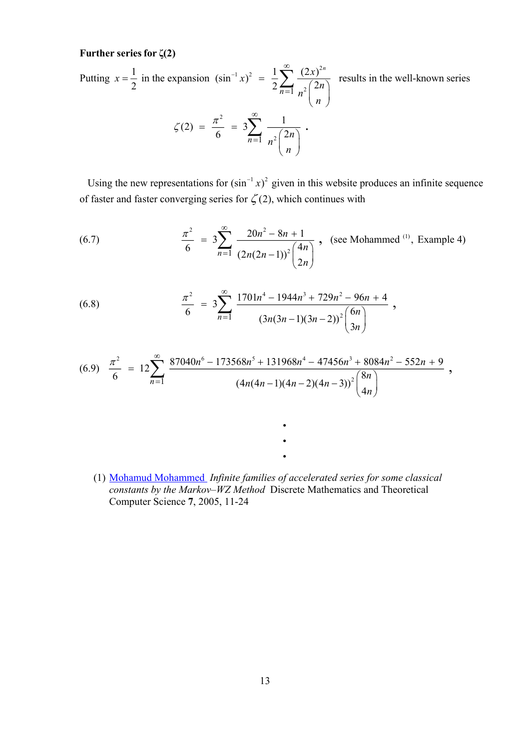#### **Further series for ζ(2)**

 $1-x^2 = 1 \sum_{0}^{\infty} (2x)^2$  $\overline{1}$   $n^2$ 2  $\overline{1}$   $n^2$ Putting  $x = \frac{1}{2}$  in the expansion  $(\sin^{-1} x)^2 = \frac{1}{2} \sum_{n=0}^{\infty} \frac{(2x)^{2n}}{(2x)^n}$  results in the well-known series  $rac{1}{2}$  in the expansion  $(\sin^{-1} x)^2 = \frac{1}{2} \sum_{n=1}^{\infty} \frac{(2x)^{2n}}{2(2n)}$  $\zeta(2) = \frac{\pi^2}{4} = 3\sum_{n=1}^{\infty} \frac{1}{n^2}$  $\frac{\tau^2}{6} = 3 \sum_{n=1}^{\infty} \frac{1}{\sqrt{2n}}$ . *n*  $\sum_{n=1}$   $n^2$   $\binom{2n}{n}$  $x = \frac{1}{2}$  in the expansion  $(\sin^{-1} x)^2 = \frac{1}{2} \sum_{n=0}^{\infty} \frac{(2x)^n}{n!}$ *n n n n n*  $\zeta(2) = \frac{\pi}{2}$  $\overline{a}$  $\infty$  $\equiv$  $\infty$  $\equiv$  $=\frac{1}{2}$  in the expansion  $(\sin^{-1} x)^2 = \frac{1}{2} \sum_{n=1}^{\infty} \frac{(2x)^{2n}}{n^2 {2n \choose n}}$  $= \frac{\pi^2}{6} = 3 \sum_{n=1}^{\infty} \frac{1}{n^2 {2n \choose n}}$ 

Using the new representations for  $(\sin^{-1} x)^2$  given in this website produces an infinite sequence of faster and faster converging series for  $\zeta(2)$ , which continues with

(6.7) 
$$
\frac{\pi^2}{6} = 3 \sum_{n=1}^{\infty} \frac{20n^2 - 8n + 1}{(2n(2n-1))^2 {4n \choose 2n}}, \text{ (see Mohammed }^{(1)}, \text{ Example 4)}
$$

(6.8) 
$$
\frac{\pi^2}{6} = 3 \sum_{n=1}^{\infty} \frac{1701n^4 - 1944n^3 + 729n^2 - 96n + 4}{(3n(3n-1)(3n-2))^2 {6n \choose 3n}},
$$

$$
(6.9) \frac{\pi^2}{6} = 12 \sum_{n=1}^{\infty} \frac{87040n^6 - 173568n^5 + 131968n^4 - 47456n^3 + 8084n^2 - 552n + 9}{(4n(4n-1)(4n-2)(4n-3))^2 {8n \choose 4n}} ,
$$

(1) Moha[mud Mohammed](http://www.dmtcs.org/dmtcs-ojs/index.php/dmtcs/issue/view/53) *Infinite families of accelerated series for some classical constants by the Markov–WZ Method* Discrete Mathematics and Theoretical Computer Science **7**, 2005, 11-24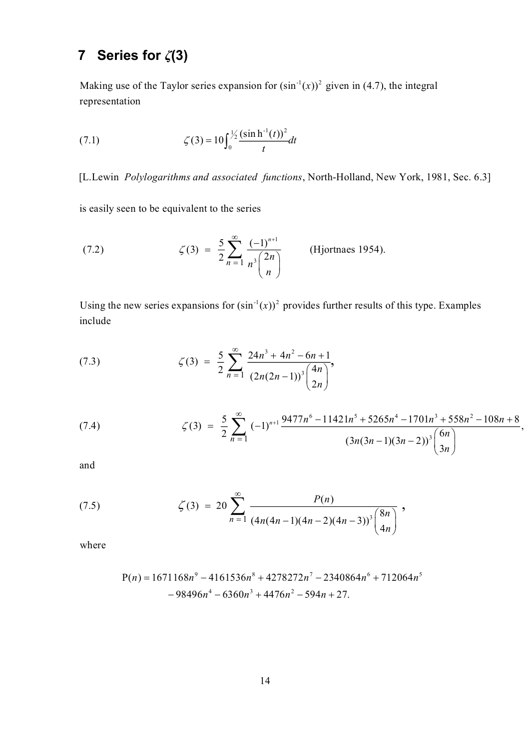## **7 Series for** *ζ***(3)**

Making use of the Taylor series expansion for  $(\sin^{-1}(x))^2$  given in (4.7), the integral representation

(7.1) 
$$
\zeta(3) = 10 \int_0^{\frac{1}{2}} \frac{(\sin h^{-1}(t))^2}{t} dt
$$

[L.Lewin Polylogarithms and associated functions, North-Holland, New York, 1981, Sec. 6.3]

is easily seen to be equivalent to the series

(7.2) 
$$
\zeta(3) = \frac{5}{2} \sum_{n=1}^{\infty} \frac{(-1)^{n+1}}{n^3 {2n \choose n}}
$$
 (Hjortnaes 1954).

Using the new series expansions for  $(\sin^{-1}(x))^2$  provides further results of this type. Examples include

(7.3) 
$$
\zeta(3) = \frac{5}{2} \sum_{n=1}^{\infty} \frac{24n^3 + 4n^2 - 6n + 1}{(2n(2n-1))^3 {4n \choose 2n}},
$$

(7.4) 
$$
\zeta(3) = \frac{5}{2} \sum_{n=1}^{\infty} (-1)^{n+1} \frac{9477n^6 - 11421n^5 + 5265n^4 - 1701n^3 + 558n^2 - 108n + 8}{(3n(3n-1)(3n-2))^3} \left(\frac{6n}{3n}\right),
$$

and

(7.5) 
$$
\zeta(3) = 20 \sum_{n=1}^{\infty} \frac{P(n)}{(4n(4n-1)(4n-2)(4n-3))^3} {8n \choose 4n},
$$

where

$$
P(n) = 1671168n^9 - 4161536n^8 + 4278272n^7 - 2340864n^6 + 712064n^5 - 98496n^4 - 6360n^3 + 4476n^2 - 594n + 27.
$$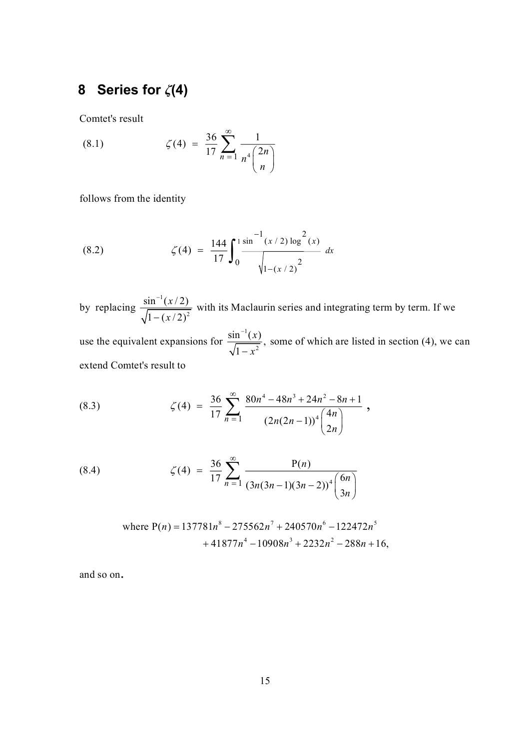## **8 Series for** *ζ***(4)**

Comtet's result

(8.1) 
$$
\zeta(4) = \frac{36}{17} \sum_{n=1}^{\infty} \frac{1}{n^4 {2n \choose n}}
$$

follows from the identity

(8.2) 
$$
\zeta(4) = \frac{144}{17} \int_0^1 \frac{\sin^{-1}(x/2) \log^2(x)}{\sqrt{1-(x/2)^2}} dx
$$

by replacing  $\frac{\sin^{-1}(x/2)}{\sqrt{2\pi}}$  $1 - ($ *x x* - $\frac{1 - (x/2)}{(x/2)^2}$  with its Maclaurin series and integrating term by term. If we  $(2)$ 

1 use the equivalent expansions for  $\frac{\sin^{-1}(x)}{\sqrt{1-x^2}}$ , some of which are listed in section (4), we can 1 extend Comtet's result to *x x*  $\overline{a}$  $\overline{a}$ 

(8.3) 
$$
\zeta(4) = \frac{36}{17} \sum_{n=1}^{\infty} \frac{80n^4 - 48n^3 + 24n^2 - 8n + 1}{(2n(2n-1))^4 {4n \choose 2n}},
$$

(8.4) 
$$
\zeta(4) = \frac{36}{17} \sum_{n=1}^{\infty} \frac{P(n)}{(3n(3n-1)(3n-2))^4} \binom{6n}{3n}
$$

where 
$$
P(n) = 137781n^8 - 275562n^7 + 240570n^6 - 122472n^5
$$
  
+  $41877n^4 - 10908n^3 + 2232n^2 - 288n + 16$ ,

and so on .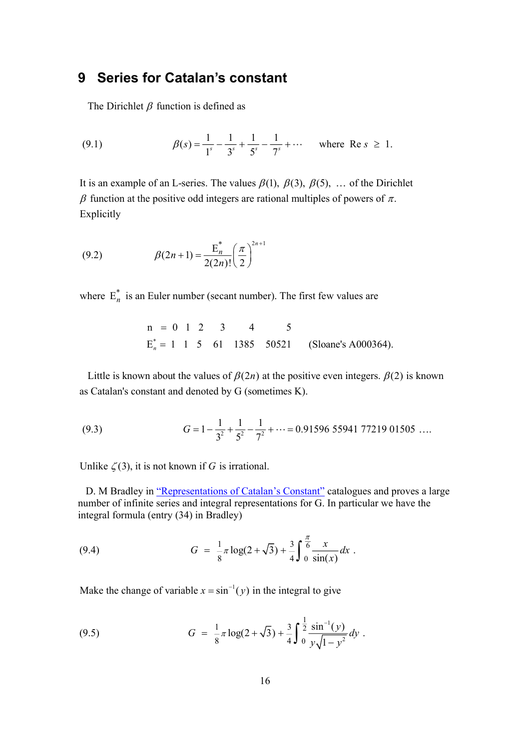### **9 Series for Catalan's constant**

The Dirichlet  $\beta$  function is defined as

(9.1) 
$$
\beta(s) = \frac{1}{1^s} - \frac{1}{3^s} + \frac{1}{5^s} - \frac{1}{7^s} + \cdots \text{ where Re } s \ge 1.
$$

It is an example of an L-series. The values  $\beta(1)$ ,  $\beta(3)$ ,  $\beta(5)$ , ... of the Dirichlet  $\beta$  function at the positive odd integers are rational multiples of powers of  $\pi$ . Explicitly

(9.2) 
$$
\beta(2n+1) = \frac{E_n^*}{2(2n)!} \left(\frac{\pi}{2}\right)^{2n+1}
$$

where  $E_n^*$  is an Euler number (secant number). The first few values are

$$
n = 0 \quad 1 \quad 2 \quad 3 \qquad 4 \qquad 5
$$
  
\n
$$
E_n^* = 1 \quad 1 \quad 5 \quad 61 \quad 1385 \quad 50521 \qquad \text{(Sloane's A000364)}.
$$

Little is known about the values of  $\beta(2n)$  at the positive even integers.  $\beta(2)$  is known as Catalan's constant and denoted by G (sometimes K).

(9.3) 
$$
G = 1 - \frac{1}{3^2} + \frac{1}{5^2} - \frac{1}{7^2} + \dots = 0.91596559417721901505\dots
$$

Unlike  $\zeta(3)$ , it is not known if G is irrational.

D. M Bradley in ["Representations of Catalan's Constant"](http://citeseerx.ist.psu.edu/viewdoc/summary?doi=10.1.1.26.1879) catalogues and proves a large number of infinite series and integral representations for G. In particular we have the integral formula (entry (34) in Bradley)

(9.4) 
$$
G = \frac{1}{8}\pi \log(2+\sqrt{3}) + \frac{3}{4}\int_{0}^{\frac{\pi}{6}} \frac{x}{\sin(x)} dx.
$$

Make the change of variable  $x = \sin^{-1}(y)$  in the integral to give

(9.5) 
$$
G = \frac{1}{8} \pi \log(2 + \sqrt{3}) + \frac{3}{4} \int_{0}^{\frac{1}{2}} \frac{\sin^{-1}(y)}{y \sqrt{1 - y^2}} dy.
$$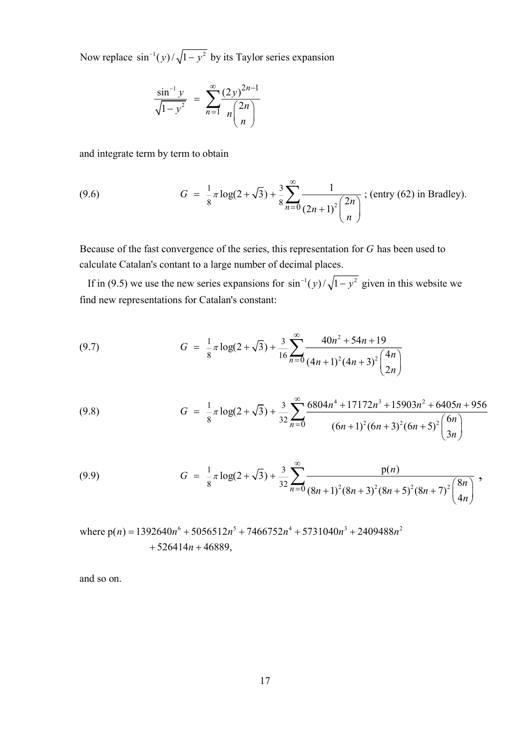Now replace  $\sin^{-1}(y)/\sqrt{1-y^2}$  by its Taylor series expansion

$$
\frac{\sin^{-1} y}{\sqrt{1 - y^2}} = \sum_{n=1}^{\infty} \frac{(2y)^{2n-1}}{n \binom{2n}{n}}
$$

and integrate term by term to obtain

(9.6) 
$$
G = \frac{1}{8}\pi \log(2+\sqrt{3}) + \frac{3}{8}\sum_{n=0}^{\infty} \frac{1}{(2n+1)^2 {2n \choose n}}; \text{(entry (62) in Bradley)}.
$$

Because of the fast convergence of the series, this representation for  $G$  has been used to calculate Catalan's contant to a large number of d ecimal places.

If in (9.5) we use the new series expansions for  $\sin^{-1}(y)/\sqrt{1-y^2}$  given in this website we find new representations for Catalan's constant:

(9.7) 
$$
G = \frac{1}{8}\pi \log(2+\sqrt{3}) + \frac{3}{16}\sum_{n=0}^{\infty} \frac{40n^2 + 54n + 19}{(4n+1)^2(4n+3)^2\binom{4n}{2n}}
$$

(9.8) 
$$
G = \frac{1}{8}\pi \log(2+\sqrt{3}) + \frac{3}{32}\sum_{n=0}^{\infty} \frac{6804n^4 + 17172n^3 + 15903n^2 + 6405n + 956}{(6n+1)^2(6n+3)^2(6n+5)^2} \binom{6n}{3n}
$$

(9.9) 
$$
G = \frac{1}{8}\pi \log(2+\sqrt{3}) + \frac{3}{32}\sum_{n=0}^{\infty} \frac{p(n)}{(8n+1)^2(8n+3)^2(8n+5)^2(8n+7)^2}\binom{8n}{4n},
$$

where  $p(n) = 1392640n^6 + 5056512n^5 + 7466752n^4 + 5731040n^3 + 2409488n^2$  $+526414n+46889,$ 

and so on.